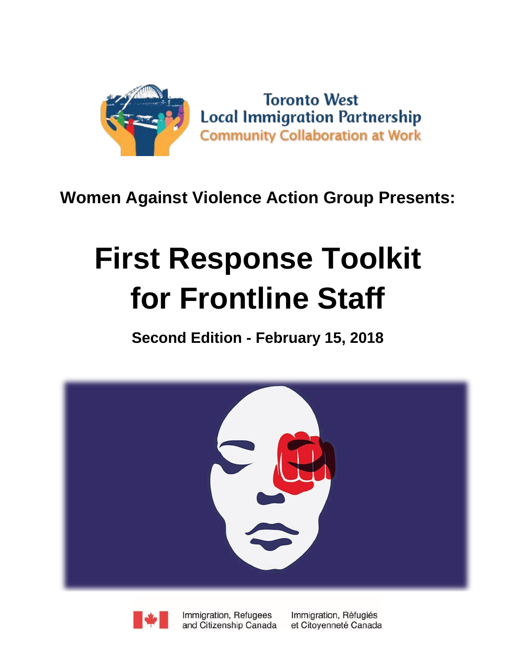

## **Women Against Violence Action Group Presents:**

# **First Response Toolkit for Frontline Staff**

**Second Edition - February 15, 2018**





Immigration, Refugees and Citizenship Canada Immigration, Réfugiés et Citoyenneté Canada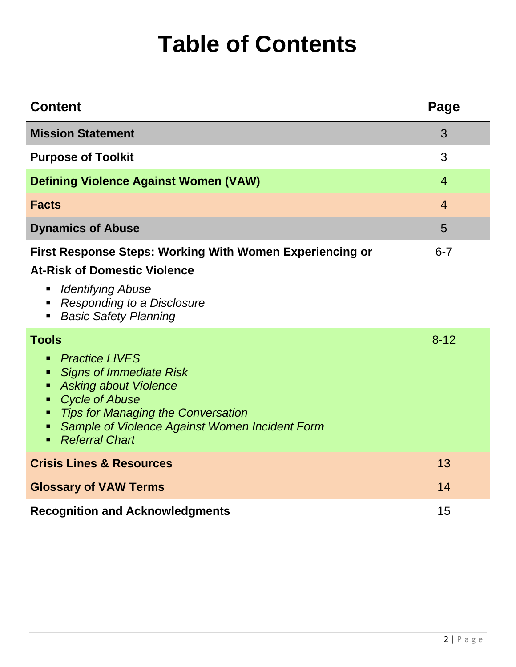# **Table of Contents**

| <b>Content</b>                                                                                                                                                                                                                                                                              | Page           |
|---------------------------------------------------------------------------------------------------------------------------------------------------------------------------------------------------------------------------------------------------------------------------------------------|----------------|
| <b>Mission Statement</b>                                                                                                                                                                                                                                                                    | 3              |
| <b>Purpose of Toolkit</b>                                                                                                                                                                                                                                                                   | 3              |
| <b>Defining Violence Against Women (VAW)</b>                                                                                                                                                                                                                                                | $\overline{4}$ |
| <b>Facts</b>                                                                                                                                                                                                                                                                                | $\overline{4}$ |
| <b>Dynamics of Abuse</b>                                                                                                                                                                                                                                                                    | 5              |
| <b>First Response Steps: Working With Women Experiencing or</b><br><b>At-Risk of Domestic Violence</b><br><b>Identifying Abuse</b><br>п<br><b>Responding to a Disclosure</b><br>п<br><b>Basic Safety Planning</b>                                                                           | $6 - 7$        |
| <b>Tools</b><br><b>Practice LIVES</b><br>٠<br><b>Signs of Immediate Risk</b><br>п<br><b>Asking about Violence</b><br>٠<br><b>Cycle of Abuse</b><br>ш<br><b>Tips for Managing the Conversation</b><br>٠<br>Sample of Violence Against Women Incident Form<br>п<br><b>Referral Chart</b><br>٠ | $8 - 12$       |
| <b>Crisis Lines &amp; Resources</b>                                                                                                                                                                                                                                                         | 13             |
| <b>Glossary of VAW Terms</b>                                                                                                                                                                                                                                                                | 14             |
| <b>Recognition and Acknowledgments</b>                                                                                                                                                                                                                                                      | 15             |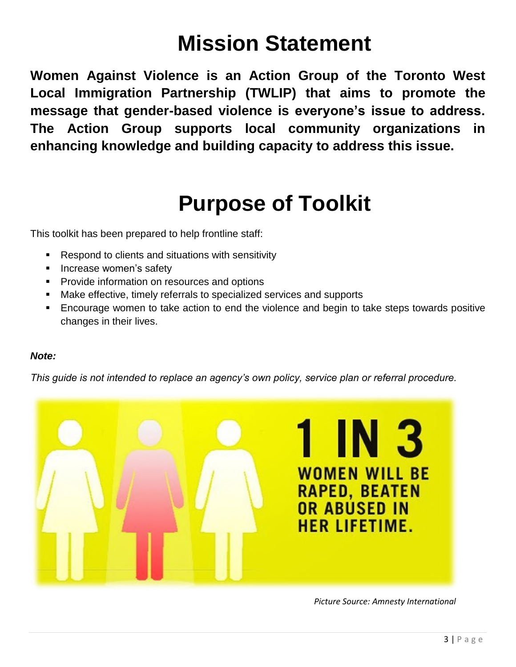## **Mission Statement**

**Women Against Violence is an Action Group of the Toronto West Local Immigration Partnership (TWLIP) that aims to promote the message that gender-based violence is everyone's issue to address. The Action Group supports local community organizations in enhancing knowledge and building capacity to address this issue.**

## **Purpose of Toolkit**

This toolkit has been prepared to help frontline staff:

- Respond to clients and situations with sensitivity
- **Increase women's safety**
- **Provide information on resources and options**
- Make effective, timely referrals to specialized services and supports
- Encourage women to take action to end the violence and begin to take steps towards positive changes in their lives.

### *Note:*

*This guide is not intended to replace an agency's own policy, service plan or referral procedure.*



*Picture Source: Amnesty International*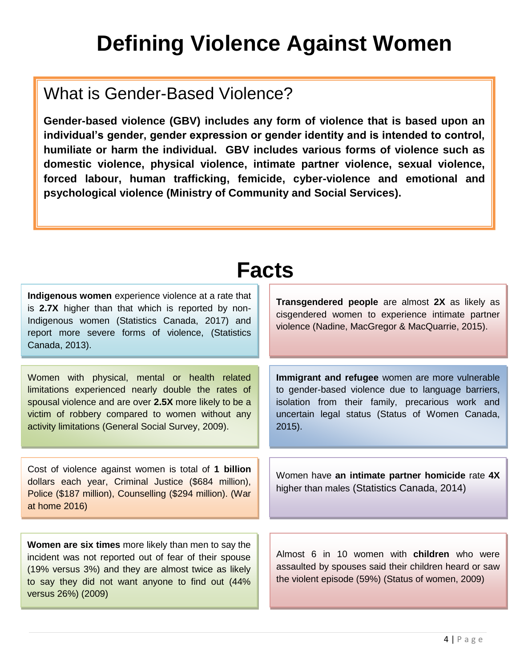# **Defining Violence Against Women**

## What is Gender-Based Violence?

**Gender-based violence (GBV) includes any form of violence that is based upon an individual's gender, gender expression or gender identity and is intended to control, humiliate or harm the individual. GBV includes various forms of violence such as domestic violence, physical violence, intimate partner violence, sexual violence, forced labour, human trafficking, femicide, cyber-violence and emotional and psychological violence (Ministry of Community and Social Services).** 

| <b>Facts</b>                                                                                                                                                                                                                                                            |                                                                                                                                                                                                                           |  |  |  |
|-------------------------------------------------------------------------------------------------------------------------------------------------------------------------------------------------------------------------------------------------------------------------|---------------------------------------------------------------------------------------------------------------------------------------------------------------------------------------------------------------------------|--|--|--|
| Indigenous women experience violence at a rate that<br>is 2.7X higher than that which is reported by non-<br>Indigenous women (Statistics Canada, 2017) and<br>report more severe forms of violence, (Statistics<br>Canada, 2013).                                      | Transgendered people are almost 2X as likely as<br>cisgendered women to experience intimate partner<br>violence (Nadine, MacGregor & MacQuarrie, 2015).                                                                   |  |  |  |
| Women with physical, mental or health related<br>limitations experienced nearly double the rates of<br>spousal violence and are over 2.5X more likely to be a<br>victim of robbery compared to women without any<br>activity limitations (General Social Survey, 2009). | Immigrant and refugee women are more vulnerable<br>to gender-based violence due to language barriers,<br>isolation from their family, precarious work and<br>uncertain legal status (Status of Women Canada,<br>$2015$ ). |  |  |  |
| Cost of violence against women is total of 1 billion<br>dollars each year, Criminal Justice (\$684 million),<br>Police (\$187 million), Counselling (\$294 million). (War<br>at home 2016)                                                                              | Women have an intimate partner homicide rate 4X<br>higher than males (Statistics Canada, 2014)                                                                                                                            |  |  |  |
|                                                                                                                                                                                                                                                                         |                                                                                                                                                                                                                           |  |  |  |
| Women are six times more likely than men to say the<br>incident was not reported out of fear of their spouse<br>(19% versus 3%) and they are almost twice as likely<br>to say they did not want anyone to find out (44%<br>versus 26%) (2009)                           | Almost 6 in 10 women with children who were<br>assaulted by spouses said their children heard or saw<br>the violent episode (59%) (Status of women, 2009)                                                                 |  |  |  |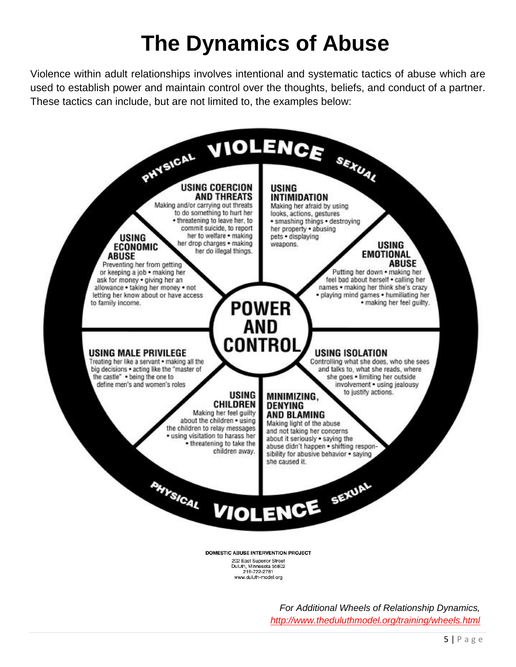# **The Dynamics of Abuse**

Violence within adult relationships involves intentional and systematic tactics of abuse which are used to establish power and maintain control over the thoughts, beliefs, and conduct of a partner. These tactics can include, but are not limited to, the examples below:



*For Additional Wheels of Relationship Dynamics, <http://www.theduluthmodel.org/training/wheels.html>*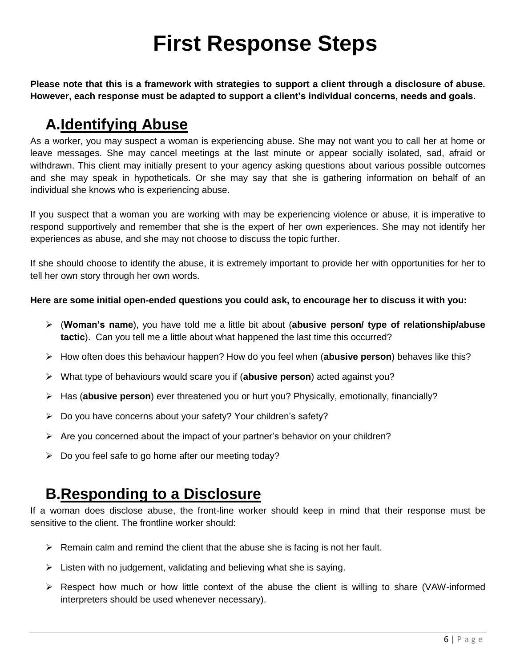# **First Response Steps**

**Please note that this is a framework with strategies to support a client through a disclosure of abuse. However, each response must be adapted to support a client's individual concerns, needs and goals.**

## **A.Identifying Abuse**

As a worker, you may suspect a woman is experiencing abuse. She may not want you to call her at home or leave messages. She may cancel meetings at the last minute or appear socially isolated, sad, afraid or withdrawn. This client may initially present to your agency asking questions about various possible outcomes and she may speak in hypotheticals. Or she may say that she is gathering information on behalf of an individual she knows who is experiencing abuse.

If you suspect that a woman you are working with may be experiencing violence or abuse, it is imperative to respond supportively and remember that she is the expert of her own experiences. She may not identify her experiences as abuse, and she may not choose to discuss the topic further.

If she should choose to identify the abuse, it is extremely important to provide her with opportunities for her to tell her own story through her own words.

#### **Here are some initial open-ended questions you could ask, to encourage her to discuss it with you:**

- (**Woman's name**), you have told me a little bit about (**abusive person/ type of relationship/abuse tactic**). Can you tell me a little about what happened the last time this occurred?
- How often does this behaviour happen? How do you feel when (**abusive person**) behaves like this?
- What type of behaviours would scare you if (**abusive person**) acted against you?
- Has (**abusive person**) ever threatened you or hurt you? Physically, emotionally, financially?
- Do you have concerns about your safety? Your children's safety?
- $\triangleright$  Are you concerned about the impact of your partner's behavior on your children?
- $\triangleright$  Do you feel safe to go home after our meeting today?

### **B.Responding to a Disclosure**

If a woman does disclose abuse, the front-line worker should keep in mind that their response must be sensitive to the client. The frontline worker should:

- $\triangleright$  Remain calm and remind the client that the abuse she is facing is not her fault.
- $\triangleright$  Listen with no judgement, validating and believing what she is saying.
- $\triangleright$  Respect how much or how little context of the abuse the client is willing to share (VAW-informed interpreters should be used whenever necessary).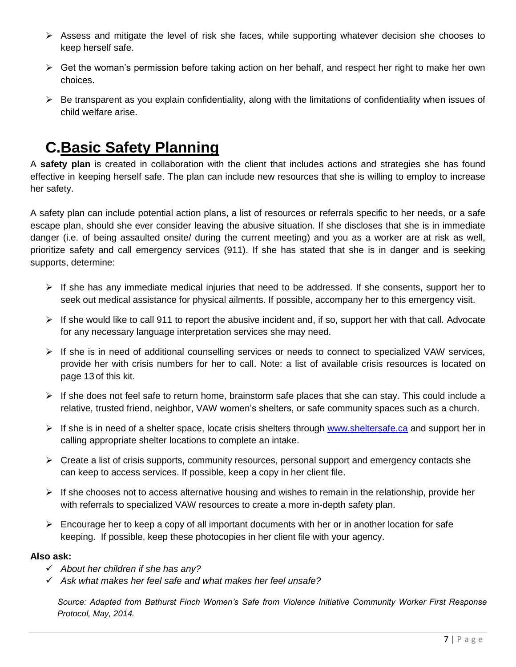- $\triangleright$  Assess and mitigate the level of risk she faces, while supporting whatever decision she chooses to keep herself safe.
- $\triangleright$  Get the woman's permission before taking action on her behalf, and respect her right to make her own choices.
- $\triangleright$  Be transparent as you explain confidentiality, along with the limitations of confidentiality when issues of child welfare arise.

## **C.Basic Safety Planning**

A **safety plan** is created in collaboration with the client that includes actions and strategies she has found effective in keeping herself safe. The plan can include new resources that she is willing to employ to increase her safety.

A safety plan can include potential action plans, a list of resources or referrals specific to her needs, or a safe escape plan, should she ever consider leaving the abusive situation. If she discloses that she is in immediate danger (i.e. of being assaulted onsite/ during the current meeting) and you as a worker are at risk as well, prioritize safety and call emergency services (911). If she has stated that she is in danger and is seeking supports, determine:

- $\triangleright$  If she has any immediate medical injuries that need to be addressed. If she consents, support her to seek out medical assistance for physical ailments. If possible, accompany her to this emergency visit.
- $\triangleright$  If she would like to call 911 to report the abusive incident and, if so, support her with that call. Advocate for any necessary language interpretation services she may need.
- $\triangleright$  If she is in need of additional counselling services or needs to connect to specialized VAW services, provide her with crisis numbers for her to call. Note: a list of available crisis resources is located on page 13 of this kit.
- $\triangleright$  If she does not feel safe to return home, brainstorm safe places that she can stay. This could include a relative, trusted friend, neighbor, VAW women's shelters, or safe community spaces such as a church.
- If she is in need of a shelter space, locate crisis shelters through [www.sheltersafe.ca](http://www.sheltersafe.ca/) and support her in calling appropriate shelter locations to complete an intake.
- $\triangleright$  Create a list of crisis supports, community resources, personal support and emergency contacts she can keep to access services. If possible, keep a copy in her client file.
- $\triangleright$  If she chooses not to access alternative housing and wishes to remain in the relationship, provide her with referrals to specialized VAW resources to create a more in-depth safety plan.
- $\triangleright$  Encourage her to keep a copy of all important documents with her or in another location for safe keeping. If possible, keep these photocopies in her client file with your agency.

### **Also ask:**

- *About her children if she has any?*
- *Ask what makes her feel safe and what makes her feel unsafe?*

*Source: Adapted from Bathurst Finch Women's Safe from Violence Initiative Community Worker First Response Protocol, May, 2014.*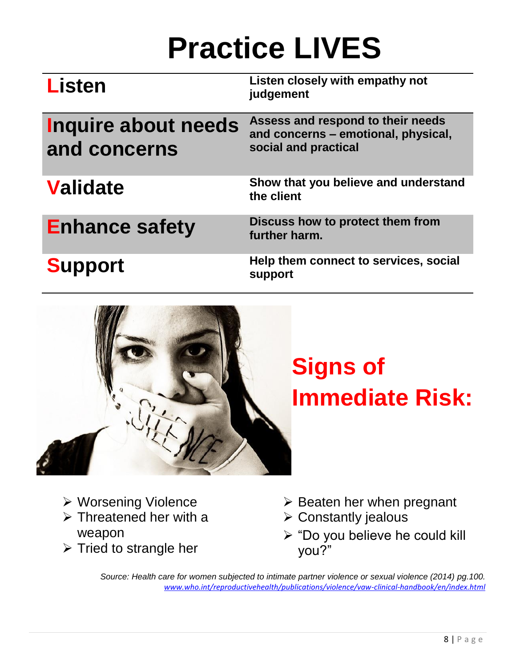# **Practice LIVES**

| <b>Listen</b>                              | Listen closely with empathy not<br>judgement                                                     |
|--------------------------------------------|--------------------------------------------------------------------------------------------------|
| <b>Inquire about needs</b><br>and concerns | Assess and respond to their needs<br>and concerns - emotional, physical,<br>social and practical |
| <b>Validate</b>                            | Show that you believe and understand<br>the client                                               |
| <b>Enhance safety</b>                      | Discuss how to protect them from<br>further harm.                                                |
| <b>Support</b>                             | Help them connect to services, social<br>support                                                 |



# **Signs of Immediate Risk:**

- Worsening Violence
- $\triangleright$  Threatened her with a weapon
- $\triangleright$  Tried to strangle her
- $\triangleright$  Beaten her when pregnant
- $\triangleright$  Constantly jealous
- "Do you believe he could kill you?"

*Source: Health care for women subjected to intimate partner violence or sexual violence (2014) pg.100. [www.who.int/reproductivehealth/publications/violence/vaw-clinical-handbook/en/index.html](http://www.who.int/reproductivehealth/publications/violence/vaw-clinical-handbook/en/index.html)*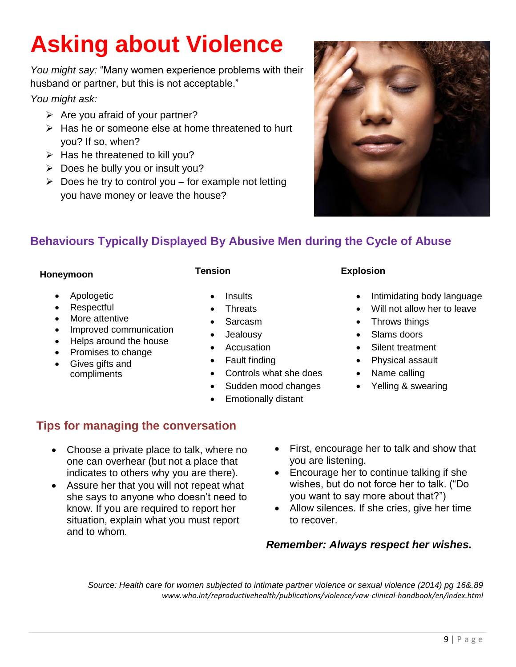# **Asking about Violence**

*You might say:* "Many women experience problems with their husband or partner, but this is not acceptable."

*You might ask:*

- $\triangleright$  Are you afraid of your partner?
- $\triangleright$  Has he or someone else at home threatened to hurt you? If so, when?
- $\triangleright$  Has he threatened to kill you?
- $\triangleright$  Does he bully you or insult you?
- $\triangleright$  Does he try to control you for example not letting you have money or leave the house?



### **Behaviours Typically Displayed By Abusive Men during the Cycle of Abuse**

### **Honeymoon**

- Apologetic
- **Respectful**
- More attentive
- Improved communication
- Helps around the house
- Promises to change
- Gives gifts and compliments

### **Tension**

- **Insults**
- **Threats**
- Sarcasm
- Jealousy
- Accusation
- Fault finding
- Controls what she does
- Sudden mood changes
- Emotionally distant

### **Explosion**

- Intimidating body language
- Will not allow her to leave
- Throws things
- Slams doors
- Silent treatment
- Physical assault
- Name calling
- Yelling & swearing

### **Tips for managing the conversation**

- Choose a private place to talk, where no one can overhear (but not a place that indicates to others why you are there).
- Assure her that you will not repeat what she says to anyone who doesn't need to know. If you are required to report her situation, explain what you must report and to whom.
- First, encourage her to talk and show that you are listening.
- Encourage her to continue talking if she wishes, but do not force her to talk. ("Do you want to say more about that?")
- Allow silences. If she cries, give her time to recover.

### *Remember: Always respect her wishes.*

*Source: Health care for women subjected to intimate partner violence or sexual violence (2014) pg 16&.89 www.who.int/reproductivehealth/publications/violence/vaw-clinical-handbook/en/index.html*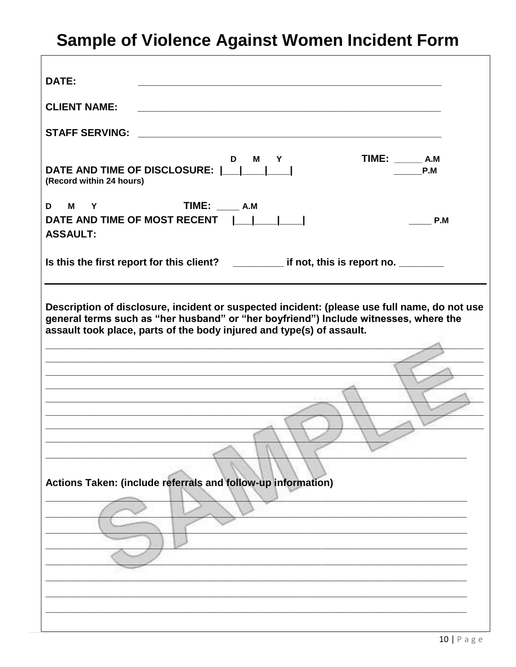## Sample of Violence Against Women Incident Form

| DATE:                                                                                                                                                                                                                                                                                                                                       |  |  |  |  |
|---------------------------------------------------------------------------------------------------------------------------------------------------------------------------------------------------------------------------------------------------------------------------------------------------------------------------------------------|--|--|--|--|
| <b>CLIENT NAME:</b>                                                                                                                                                                                                                                                                                                                         |  |  |  |  |
| <b>STAFF SERVING:</b>                                                                                                                                                                                                                                                                                                                       |  |  |  |  |
| TIME: A.M<br>D<br><b>M</b><br>Y<br>DATE AND TIME OF DISCLOSURE:          <br>P.M<br>(Record within 24 hours)                                                                                                                                                                                                                                |  |  |  |  |
| <b>TIME:</b> A.M<br>D M Y                                                                                                                                                                                                                                                                                                                   |  |  |  |  |
| DATE AND TIME OF MOST RECENT<br>$\mathbf{I} = \mathbf{I}$<br>P.M<br><b>ASSAULT:</b>                                                                                                                                                                                                                                                         |  |  |  |  |
| Is this the first report for this client? __________ if not, this is report no. _______                                                                                                                                                                                                                                                     |  |  |  |  |
|                                                                                                                                                                                                                                                                                                                                             |  |  |  |  |
| Description of disclosure, incident or suspected incident: (please use full name, do not use<br>general terms such as "her husband" or "her boyfriend") Include witnesses, where the<br>assault took place, parts of the body injured and type(s) of assault.<br>the control of the control of the control of the control of the control of |  |  |  |  |
|                                                                                                                                                                                                                                                                                                                                             |  |  |  |  |
|                                                                                                                                                                                                                                                                                                                                             |  |  |  |  |
|                                                                                                                                                                                                                                                                                                                                             |  |  |  |  |
|                                                                                                                                                                                                                                                                                                                                             |  |  |  |  |
|                                                                                                                                                                                                                                                                                                                                             |  |  |  |  |
|                                                                                                                                                                                                                                                                                                                                             |  |  |  |  |
|                                                                                                                                                                                                                                                                                                                                             |  |  |  |  |
| Actions Taken: (include referrals and follow-up information)                                                                                                                                                                                                                                                                                |  |  |  |  |
|                                                                                                                                                                                                                                                                                                                                             |  |  |  |  |
|                                                                                                                                                                                                                                                                                                                                             |  |  |  |  |
|                                                                                                                                                                                                                                                                                                                                             |  |  |  |  |
|                                                                                                                                                                                                                                                                                                                                             |  |  |  |  |
|                                                                                                                                                                                                                                                                                                                                             |  |  |  |  |
|                                                                                                                                                                                                                                                                                                                                             |  |  |  |  |
|                                                                                                                                                                                                                                                                                                                                             |  |  |  |  |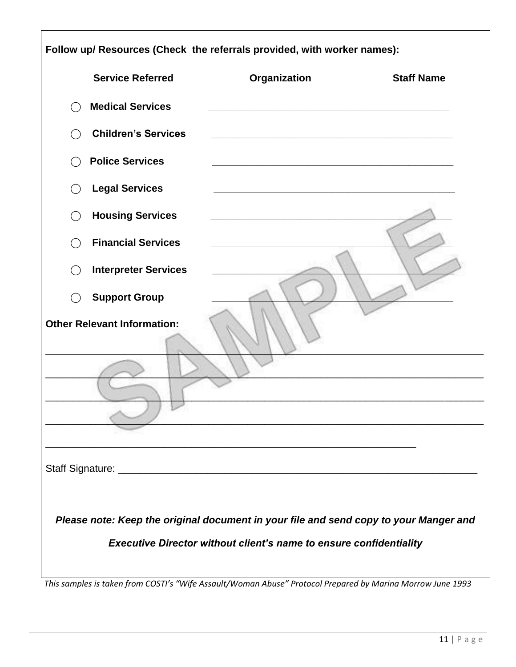| Follow up/ Resources (Check the referrals provided, with worker names):               |                                                                                                                      |                   |  |  |
|---------------------------------------------------------------------------------------|----------------------------------------------------------------------------------------------------------------------|-------------------|--|--|
| <b>Service Referred</b>                                                               | Organization                                                                                                         | <b>Staff Name</b> |  |  |
| <b>Medical Services</b><br>$($ )                                                      |                                                                                                                      |                   |  |  |
| <b>Children's Services</b>                                                            |                                                                                                                      |                   |  |  |
| <b>Police Services</b>                                                                |                                                                                                                      |                   |  |  |
| <b>Legal Services</b><br>$($ )                                                        |                                                                                                                      |                   |  |  |
| <b>Housing Services</b><br>$($ )                                                      |                                                                                                                      |                   |  |  |
| <b>Financial Services</b><br>$\left( \begin{array}{c} 1 \end{array} \right)$          |                                                                                                                      |                   |  |  |
| <b>Interpreter Services</b><br>$($ )                                                  |                                                                                                                      |                   |  |  |
| <b>Support Group</b><br>$\overline{\phantom{a}}$                                      |                                                                                                                      |                   |  |  |
| <b>Other Relevant Information:</b>                                                    | <u> 1989 - Johann Stein, mars an deutscher Stein und der Stein und der Stein und der Stein und der Stein und der</u> |                   |  |  |
|                                                                                       |                                                                                                                      |                   |  |  |
| Please note: Keep the original document in your file and send copy to your Manger and | <b>Executive Director without client's name to ensure confidentiality</b>                                            |                   |  |  |

*This samples is taken from COSTI's "Wife Assault/Woman Abuse" Protocol Prepared by Marina Morrow June 1993*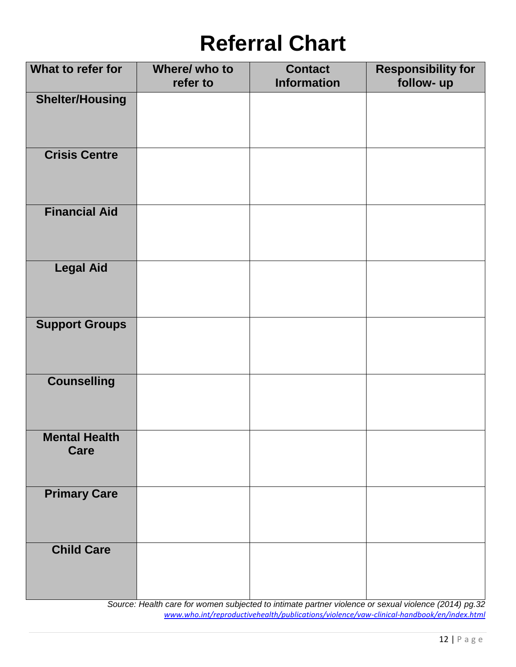# **Referral Chart**

| What to refer for            | Where/ who to<br>refer to | <b>Contact</b><br><b>Information</b> | <b>Responsibility for</b><br>follow- up |
|------------------------------|---------------------------|--------------------------------------|-----------------------------------------|
| <b>Shelter/Housing</b>       |                           |                                      |                                         |
| <b>Crisis Centre</b>         |                           |                                      |                                         |
| <b>Financial Aid</b>         |                           |                                      |                                         |
| <b>Legal Aid</b>             |                           |                                      |                                         |
| <b>Support Groups</b>        |                           |                                      |                                         |
| <b>Counselling</b>           |                           |                                      |                                         |
| <b>Mental Health</b><br>Care |                           |                                      |                                         |
| <b>Primary Care</b>          |                           |                                      |                                         |
| <b>Child Care</b>            |                           |                                      |                                         |

*Source: Health care for women subjected to intimate partner violence or sexual violence (2014) pg.32 [www.who.int/reproductivehealth/publications/violence/vaw-clinical-handbook/en/index.html](http://www.who.int/reproductivehealth/publications/violence/vaw-clinical-handbook/en/index.html)*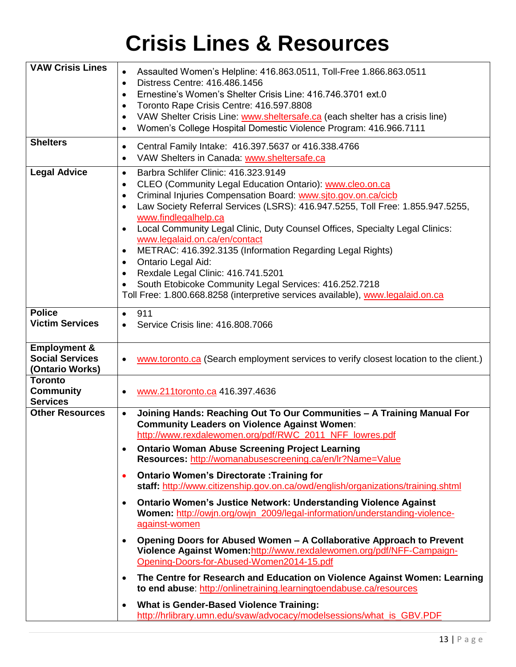# **Crisis Lines & Resources**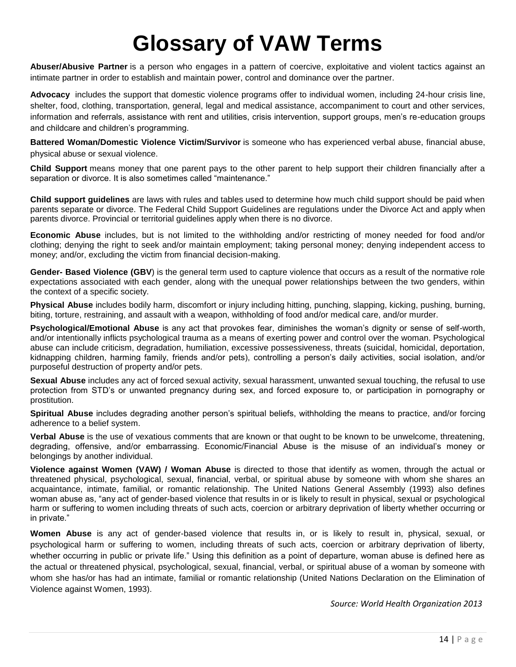# **Glossary of VAW Terms**

**Abuser/Abusive Partner** is a person who engages in a pattern of coercive, exploitative and violent tactics against an intimate partner in order to establish and maintain power, control and dominance over the partner.

**Advocacy** includes the support that domestic violence programs offer to individual women, including 24-hour crisis line, shelter, food, clothing, transportation, general, legal and medical assistance, accompaniment to court and other services, information and referrals, assistance with rent and utilities, crisis intervention, support groups, men's re-education groups and childcare and children's programming.

**Battered Woman/Domestic Violence Victim/Survivor** is someone who has experienced verbal abuse, financial abuse, physical abuse or sexual violence.

**Child Support** means money that one parent pays to the other parent to help support their children financially after a separation or divorce. It is also sometimes called "maintenance."

**Child support guidelines** are laws with rules and tables used to determine how much child support should be paid when parents separate or divorce. The Federal Child Support Guidelines are regulations under the Divorce Act and apply when parents divorce. Provincial or territorial guidelines apply when there is no divorce.

**Economic Abuse** includes, but is not limited to the withholding and/or restricting of money needed for food and/or clothing; denying the right to seek and/or maintain employment; taking personal money; denying independent access to money; and/or, excluding the victim from financial decision-making.

**Gender- Based Violence (GBV**) is the general term used to capture violence that occurs as a result of the normative role expectations associated with each gender, along with the unequal power relationships between the two genders, within the context of a specific society.

**Physical Abuse** includes bodily harm, discomfort or injury including hitting, punching, slapping, kicking, pushing, burning, biting, torture, restraining, and assault with a weapon, withholding of food and/or medical care, and/or murder.

**Psychological/Emotional Abuse** is any act that provokes fear, diminishes the woman's dignity or sense of self-worth, and/or intentionally inflicts psychological trauma as a means of exerting power and control over the woman. Psychological abuse can include criticism, degradation, humiliation, excessive possessiveness, threats (suicidal, homicidal, deportation, kidnapping children, harming family, friends and/or pets), controlling a person's daily activities, social isolation, and/or purposeful destruction of property and/or pets.

**Sexual Abuse** includes any act of forced sexual activity, sexual harassment, unwanted sexual touching, the refusal to use protection from STD's or unwanted pregnancy during sex, and forced exposure to, or participation in pornography or prostitution.

**Spiritual Abuse** includes degrading another person's spiritual beliefs, withholding the means to practice, and/or forcing adherence to a belief system.

**Verbal Abuse** is the use of vexatious comments that are known or that ought to be known to be unwelcome, threatening, degrading, offensive, and/or embarrassing. Economic/Financial Abuse is the misuse of an individual's money or belongings by another individual.

**Violence against Women (VAW) / Woman Abuse** is directed to those that identify as women, through the actual or threatened physical, psychological, sexual, financial, verbal, or spiritual abuse by someone with whom she shares an acquaintance, intimate, familial, or romantic relationship. The United Nations General Assembly (1993) also defines woman abuse as, "any act of gender-based violence that results in or is likely to result in physical, sexual or psychological harm or suffering to women including threats of such acts, coercion or arbitrary deprivation of liberty whether occurring or in private."

**Women Abuse** is any act of gender-based violence that results in, or is likely to result in, physical, sexual, or psychological harm or suffering to women, including threats of such acts, coercion or arbitrary deprivation of liberty, whether occurring in public or private life." Using this definition as a point of departure, woman abuse is defined here as the actual or threatened physical, psychological, sexual, financial, verbal, or spiritual abuse of a woman by someone with whom she has/or has had an intimate, familial or romantic relationship (United Nations Declaration on the Elimination of Violence against Women, 1993).

*Source: World Health Organization 2013*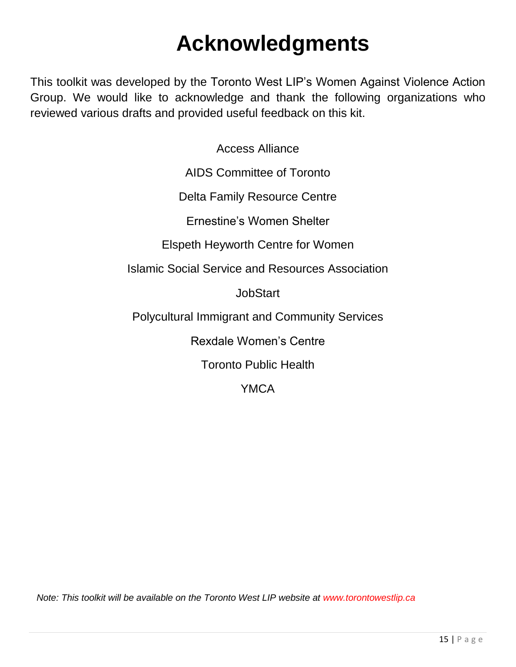# **Acknowledgments**

This toolkit was developed by the Toronto West LIP's Women Against Violence Action Group. We would like to acknowledge and thank the following organizations who reviewed various drafts and provided useful feedback on this kit.

> Access Alliance AIDS Committee of Toronto Delta Family Resource Centre Ernestine's Women Shelter Elspeth Heyworth Centre for Women Islamic Social Service and Resources Association JobStart Polycultural Immigrant and Community Services Rexdale Women's Centre Toronto Public Health **YMCA**

*Note: This toolkit will be available on the Toronto West LIP website at www.torontowestlip.ca*